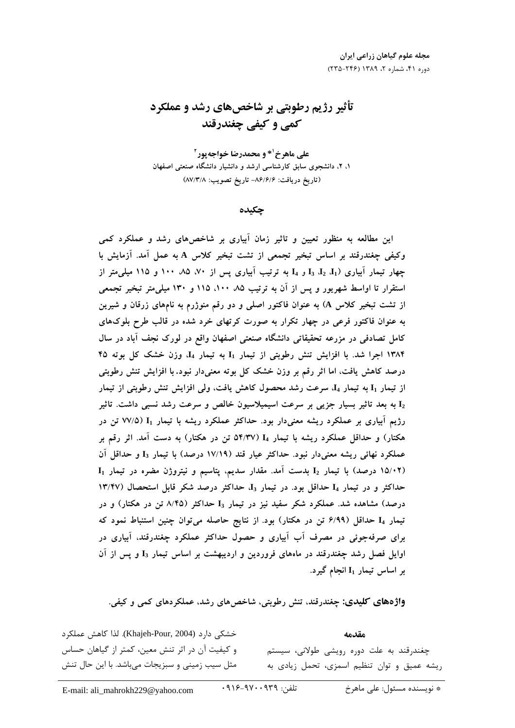# تأثیر رژیم رطوبتی بر شاخصهای رشد و عملکرد کمي و کيفي چغندرقند

علي ماهرخ<sup>۱</sup>\* و محمدرضا خواجه پور<sup>۲</sup> ۱، ۲، دانشجوی سابق کارشناسی ارشد و دانشیار دانشگاه صنعتی اصفهان (تاريخ دريافت: ۸۶/۶/۶– تاريخ تصويب: ۸۷/۳/۸)

چکیده

این مطالعه به منظور تعیین و تاثیر زمان اَبیاری بر شاخصهای رشد و عملکرد کمی وكيفى چغندرقند بر اساس تبخير تجمعى از تشت تبخير كلاس A به عمل آمد. آزمايش با چهار تیمار آبیاری (I<sub>3</sub> J<sub>3</sub> J<sub>4</sub> J<sub>3</sub> J<sub>2</sub> J<sub>1</sub> به ترتیب آبیاری پس از ۷۰، ۸۵، ۱۰۰ و ۱۱۵ میلی متر از استقرار تا اواسط شهریور و پس از آن به ترتیب ۸۵ ۱۰۰، ۱۱۵ و ۱۳۰ میلی متر تبخیر تجمعی از تشت تبخیر کلاس A) به عنوان فاکتور اصلی و دو رقم منوژرم به نامهای زرقان و شیرین به عنوان فاکتور فرعی در چهار تکرار به صورت کرتهای خرد شده در قالب طرح بلوکهای کامل تصادفی در مزرعه تحقیقاتی دانشگاه صنعتی اصفهان واقع در لورک نجف آباد در سال ۱۳۸۴ اجرا شد. با افزایش تنش رطوبتی از تیمار I1 به تیمار I4، وزن خشک کل بوته ۴۵ درصد کاهش یافت، اما اثر رقم بر وزن خشک کل بوته معنیدار نبود. با افزایش تنش رطوبتی از تیمار I<sub>1</sub> به تیمار I<sub>4</sub> سرعت رشد محصول کاهش یافت، ولی افزایش تنش رطوبتی از تیمار به بعد تاثیر بسیار جزیی بر سرعت اسیمیلاسیون خالص و سرعت رشد نسبی داشت. تاثیر  ${\rm I}_2$ رژیم آبیاری بر عملکرد ریشه معنیدار بود. حداکثر عملکرد ریشه با تیمار I<sub>I</sub> (۷۷/۵ تن در هکتار) و حداقل عملکرد ریشه با تیمار I4 (۵۴/۳۷ تن در هکتار) به دست آمد. اثر رقم بر عملکرد نهائی ریشه معنیدار نبود. حداکثر عیار قند (۱۷/۱۹ درصد) با تیمار ∏ و حداقل اَن  $I_1$  (۱۵/۰۲ درصد) با تیمار  $I_2$  بدست آمد. مقدار سدیم، پتاسیم و نیتروژن مضره در تیمار حداکثر و در تیمار I4 حداقل بود. در تیمار I<sub>3</sub> حداکثر درصد شکر قابل استحصال (۱۳/۴۷ درصد) مشاهده شد. عملکرد شکر سفید نیز در تیمار I3 حداکثر (۸/۴۵ تن در هکتار) و در تیمار I4 حداقل (۶/۹۹ تن در هکتار) بود. از نتایج حاصله می توان چنین استنباط نمود که برای صرفهجوئی در مصرف آب آبیاری و حصول حداکثر عملکرد چغندرقند، آبیاری در اوایل فصل رشد چغندرقند در ماههای فروردین و اردیبهشت بر اساس تیمار I3 و پس از آن بر اساس تیمار I<sub>1</sub> انجام گیرد.

**واژههای کلیدی: چغ**ندرقند، تنش رطوبتی، شاخصهای رشد، عملکردهای کمی و کیفی.

خشكى دارد (Khajeh-Pour, 2004). لذا كاهش عملكرد و کیفیت آن در اثر تنش معین، کمتر از گیاهان حساس مثل سیب زمینی و سبزیجات میباشد. با این حال تنش

مقدمه چغندرقند به علت دوره رویشی طولانی، سیستم ریشه عمیق و توان تنظیم اسمزی، تحمل زیادی به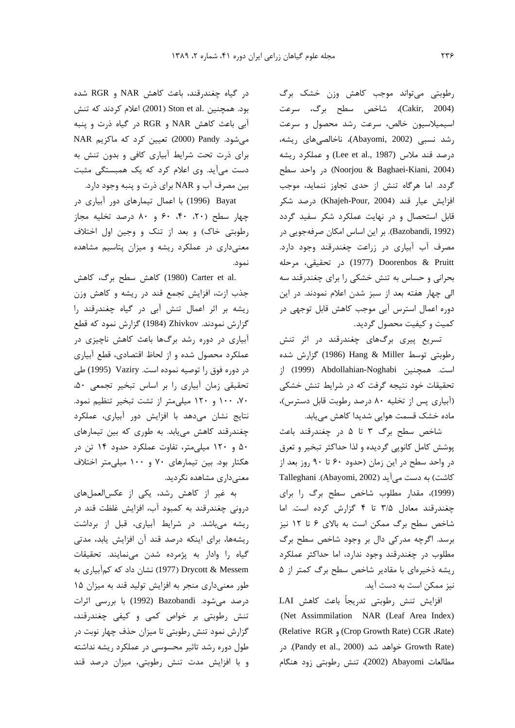رطوبتی میتواند موجب کاهش وزن خشک برگ (Cakir, 2004)، شاخص سطح برگ، سرعت اسیمیلاسیون خالص، سرعت رشد محصول و سرعت رشد نسبی (Abayomi, 2002)، ناخالصیهای ریشه، درصد قند ملاس (Lee et al., 1987) و عملكرد ريشه در واحد سطح) (Noorjou & Baghaei-Kiani, 2004) گردد. اما هرگاه تنش از حدی تجاوز ننماید، موجب افزايش عيار قند (Khajeh-Pour, 2004) درصد شكر قابل استحصال و در نهایت عملکرد شکر سفید گردد (Bazobandi, 1992). بر این اساس امکان صرفهجویی در مصرف آب آبیاری در زراعت چغندرقند وجود دارد. Doorenbos & Pruitt (1977) در تحقیقی، مرحله بحرانی و حساس به تنش خشکی را برای چغندرقند سه الی چهار هفته بعد از سبز شدن اعلام نمودند. در این دوره اعمال استرس آبی موجب کاهش قابل توجهی در كميت و كيفيت محصول گرديد.

تسریع پیری برگهای چغندرقند در اثر تنش رطوبتي توسط Hang & Miller (1986) گزارش شده است. همچنین Abdollahian-Noghabi (1999) از تحقیقات خود نتیجه گرفت که در شرایط تنش خشکی (آبیاری پس از تخلیه ۸۰ درصد رطوبت قابل دسترس)، ماده خشک قسمت هوایی شدیدا کاهش مییابد.

شاخص سطح برگ ٣ تا ۵ در چغندرقند باعث پوشش كامل كانوپي گرديده و لذا حداكثر تبخير و تعرق در واحد سطح در این زمان (حدود ۶۰ تا ۹۰ روز بعد از كاشت) به دست مي آيد (Abayomi, 2002). Talleghani (1999)، مقدار مطلوب شاخص سطح برگ را برای چغندرقند معادل ۳/۵ تا ۴ گزارش کرده است. اما شاخص سطح برگ ممکن است به بالای ۶ تا ۱۲ نیز برسد. اگرچه مدرکی دال بر وجود شاخص سطح برگ مطلوب در چغندرقند وجود ندارد، اما حداکثر عملکرد ریشه ذخیرهای با مقادیر شاخص سطح برگ کمتر از ۵ نیز ممکن است به دست آید.

افزايش تنش رطوبتي تدريجاً باعث كاهش LAI (Net Assimmilation NAR (Leaf Area Index) (Relative RGR , Crop Growth Rate) CGR .Rate) در (Pandy et al., 2000) خواهد شد (Pandy et al., 2000). در مطالعات Abayomi (2002)، تنش رطوبتی زود هنگام

در گیاه چغندرقند، باعث کاهش NAR و RGR شده بود. همچنین .Ston et al (2001) اعلام کردند که تنش آبي باعث كاهش NAR و RGR در گياه ذرت و ينبه میشود. Pandy (2000) تعیین کرد که ماکزیم NAR برای ذرت تحت شرایط آبیاری کافی و بدون تنش به دست می آید. وی اعلام کرد که یک همبستگی مثبت بين مصرف آب و NAR براي ذرت و پنبه وجود دارد.

Bayat (1996) با اعمال تیمارهای دور آبیاری در چهار سطح (۲۰، ۴۰، ۶۰ و ۸۰ درصد تخلیه مجاز رطوبتی خاک) و بعد از تنک و وجین اول اختلاف معنیداری در عملکرد ریشه و میزان پتاسیم مشاهده نمود.

.Carter et al (1980) كاهش سطح برگ، كاهش جذب ازت، افزایش تجمع قند در ریشه و کاهش وزن ریشه بر اثر اعمال تنش آبی در گیاه چغندرقند را گزارش نمودند. Zhivkov (1984) گزارش نمود که قطع آبیاری در دوره رشد برگها باعث کاهش ناچیزی در عملکرد محصول شده و از لحاظ اقتصادی، قطع آبیاری در دوره فوق را توصيه نموده است. Vaziry (1995) طي تحقيقى زمان أبيارى را بر اساس تبخير تجمعى ۵۰، ۷۰، ۱۰۰ و ۱۲۰ میلی متر از تشت تبخیر تنظیم نمود. نتایج نشان میدهد با افزایش دور آبیاری، عملکرد چغندرقند کاهش مییابد. به طوری که بین تیمارهای ۵۰ و ۱۲۰ میلی متر، تفاوت عملکرد حدود ۱۴ تن در هکتار بود. بین تیمارهای ۷۰ و ۱۰۰ میلی متر اختلاف معنے داری مشاهده نگردید.

به غیر از کاهش رشد، یکی از عکسالعملهای درونی چغندرقند به کمبود آب، افزایش غلظت قند در ریشه میباشد. در شرایط آبیاری، قبل از برداشت ریشهها، برای اینکه درصد قند آن افزایش یابد، مدتی گیاه را وادار به پژمرده شدن می نمایند. تحقیقات Drycott & Messem (1977) نشان داد که کمآبیاری به طور معنیداری منجر به افزایش تولید قند به میزان ۱۵ درصد میشود. Bazobandi (1992) با بررسی اثرات تنش رطوبتی بر خواص کمی و کیفی چغندرقند، گزارش نمود تنش رطوبتی تا میزان حذف چهار نوبت در طول دوره رشد تاثیر محسوسی در عملکرد ریشه نداشته و با افزایش مدت تنش رطوبتی، میزان درصد قند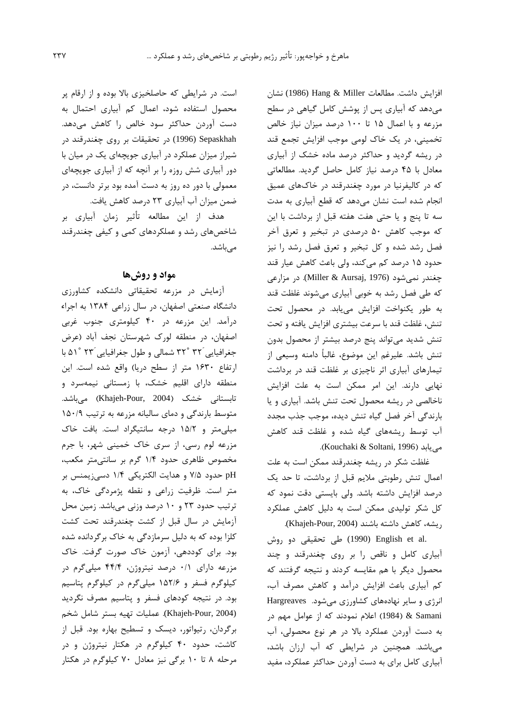افزايش داشت. مطالعات Hang & Miller (1986) نشان مے دھد که آبیاری بس از پوشش کامل گیاهی در سطح مزرعه و با اعمال ۱۵ تا ۱۰۰ درصد میزان نیاز خالص تخمینے، در یک خاک لومے موجب افزایش تحمع قند در ریشه گردید و حداکثر درصد ماده خشک از آبیاری معادل با ۴۵ درصد نیاز کامل حاصل گردید. مطالعاتی که در کالیفرنیا در مورد جغندرقند در خاکهای عمیق نجام شده است نشان مه دهد که قطع آبیاری به مدت  $\overline{1}$ سه تا پنج و يا حتى هفت هفته قبل از برداشت با اين که موجب کاهش ۵۰ د.صدی در تبخیر و تعرق آخر .<br>فصل رشد شده و کل تبخیر و تعرق فصل رشد را نیز حدود ۱۵ درصد کم میکند، ولی باعث کاهش عیار قند چغندر نمی,شود (Miller & Aursaj, 1976). در مزارعی که طی فصل رشد به خوبی آبیاری می شوند غلظت قند به طور یکنواخت افزایش می باید. در محصول تحت تنش، غلظت قند با سرعت بيشترى افزايش يافته و تحت .<br>تنش شدید می تواند بنج درصد بیشتر از محصول بدون .<br>تنش باشد. علیرغم این موضوع، غالباً دامنه وسیعی از .<br>تیمارهای آبیاری اثر ناجیزی بر غلظت قند در برداشت ۔<br>نهایی دارند. این امر ممکن است به علت افزایش .<br>ناخالصي در ريشه محصول تحت تنش باشد. آبياري و با بارندگی آخر فصل گیاه تنش دیده، موجب حذب محدد ۔<br>آب توسط ، بشههای گیاه شده و غلظت قند کاهش .(Kouchaki & Soltani, 1996).

غلظت شكر در ريشه چغندرقند ممكن است به علت اعمال تنش رطوبتي ملايم قبل از برداشت، تا حد يك درصد افزايش داشته باشد. ولي بايستي دقت نمود كه كل شكر توليدي ممكن است به دليل كاهش عملكرد ريشه، كاهش داشته باشند (Khajeh-Pour, 2004).

.(1990) English et al اطی تحقیقی دو روش .<br>أيباري كامل و ناقص را بي روي حغندرقند و حند .<br>محصول دیگر با هم مقایسه کردند و نتیجه گرفتند که كم آبياري باعث افزايش درآمد و كاهش مصرف آب، .<br>نرژی و سایر نهادههای کشاورزی می شود. Hargreaves 4 .<br>Samani & (1984) اعلام نمودند که از عوامل مهم در به دست آوردن عملکرد بالا در هر نوع محصولی، آب .<br>ن میباشد. همچنین در شرایطی که آب ارزان باشد، آبیاری کامل برای به دست آوردن حداکثر عملکرد، مفید

است. د. شابط که حاصلخیزی بالا بوده و از آرقام بر محصول استفاده شود، اعمال کم آبیاری احتمال به دست آوردن حداکثر سود خالص را کاهش میدهد. در تحقیقات بر روی چغندرقند در (1996) c شدا: میزان عملکرد در آبیاری جوبچهای یک در میان با دور آبیاری شش روزه را بر آنجه که از آبیاری جوبچهای معمولي با دور ده روز به دست آمده بود برتر دانس*ت،* در ضمن ميزان آب آبياري ٢٣ درصد كاهش يافت.

هدف از این مطالعه تأثیر زمان آبیاری بر شاخصهای رشد و عملکردهای کمی و کیفی چغندرقند میباشد.

### مواد و روشها

.<br>آزمایش در مزرعه تحقیقاتی دانشکده کشاورز*ی* دانشگاه صنعتی اصفهان د. سال زراعی ۱۳۸۴ به اجراء د. آمد. این من عه اد. ۴۰ کیلومتای حنوب غایب اصفهان، در منطقه لورک شهرستان نحف آباد (عرض جغرافيايي ٣٢° ٣٢ شمالي و طول جغرافيايي ٢٣ °٥١ با ارتفاع ١۶۳۰ متر از سطح دريا) واقع شده است. اين منطقه دارای اقلیم خشک، با زمستانی نیمهسرد و تابستانی خشک (Khajeh-Pour, 2004) میباشد. متوسط بارندگی و دمای سالیانه مزرعه به ترتیب ۱۵۰/۹ مبله متر و ۱۵/۲ درجه سانتیگراد است. بافت خاک مزرعه لوم رسي، از سري خاک خميني شهر، با جرم مخصوص ظاهری حدود ۱/۴ گرم بر سانته متد مکعب، pH حدود ۷/۵ و هدایت الکتریکی ۱/۴ دسیزیمنس بر متر است. ظرفیت زراعی و نقطه بژمردگی خاک، به .<br>ترتیب حدود ۲۳ و ۱۰ درصد وزن*ی مر*باشد. زمین محل آزمایش در سال قبل از کشت چغندرقند تحت کشت کلزا بوده که به دلیل سرمازد*گی* به خاک برگردانده شده .<br>ود. برای کودده*ی،* آزمون خاک صورت گرفت. خاک .<br>د هن عه دارای ۰/۱ درصد نبتروژن ۴۴/۴ میلر گرم در کیلوگرم فسفر و ۱۵۲/۶ میلے گرم در کیلوگرم بتاسیم .<br>ود. در نتیجه کودهای فسف و بتاسیم مصرف نگردید .<br>د (Khajeh-Pour, 2004). عمليات تهيه بستر شامل شخم د گردان، رتبواتور، دبسک و تسطیح بهاره بود. قبل از .<br>کاش*ت، ح*دود ۴۰ کیلوگرم در هکتار نیتروژن و در مرحله ۸ تا ۱۰ برگی نیز معادل ۷۰ کیلوگرم در هکتار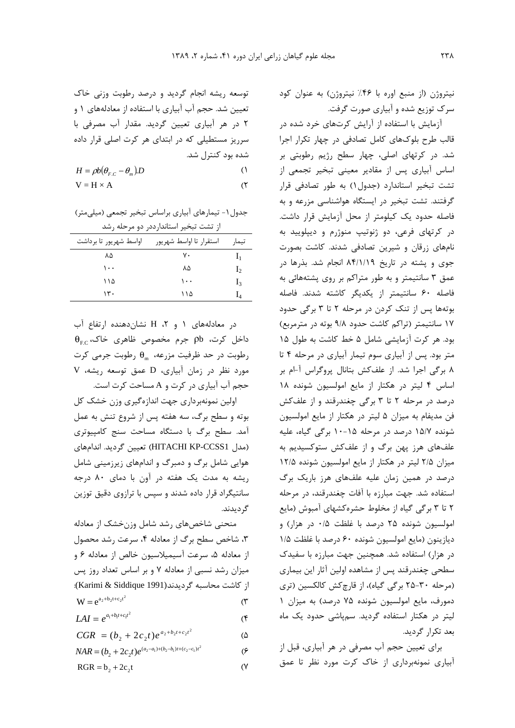$(\mathsf{r})$ 

توسعه ریشه انجام گردید و درصد رطوبت وزنی خاک تعیین شد. حجم آب آبیاری با استفاده از معادلههای ۱ و ٢ در هر آبياري تعيين گرديد. مقدار آب مصرفي با سرریز مستطیلی که در ابتدای هر کرت اصلی قرار داده شده بود کنترل شد.

 $H = \rho b(\theta_{\rm EC} - \theta_{\rm m}) D$  $($ 

$$
V = H \times A
$$

جدول ۱- تیمارهای آبیاری براساس تبخیر تجمعی (میلیمتر) از تشت تبخیر استاندارددر دو مرحله رشد

| اواسط شهريور تا برداشت | استقرار تا اواسط شهريور | تيمار          |
|------------------------|-------------------------|----------------|
| ۸۵                     | ٧٠                      | $\mathbf{I}_1$ |
| ۱۰۰                    | ۸۵                      | $I_2$          |
| ۱۱۵                    | ۱۰۰                     | $I_3$          |
| ۱۳.                    | ۱۱۵                     | $_{14}$        |

در معادلههای ۱ و ۲، H نشان دهنده ارتفاع آب  $\theta_{\rm EC}$  داخل کرت، pb جرم مخصوص ظاهری خاک، رطوبت در حد ظرفیت مزرعه،  $\theta_{\rm m}$  رطوبت جرمی کرت مورد نظر در زمان آبیاری، D عمق توسعه ریشه، V حجم آب آبیاری در کرت و A مساحت کرت است.

اولین نمونهبرداری جهت اندازهگیری وزن خشک کل بوته و سطح برگ، سه هفته پس از شروع تنش به عمل آمد. سطح برگ با دستگاه مساحت سنج کامپیوتری (مدل HITACHI KP-CCSS1) تعيين گرديد. اندامهاي هوایی شامل برگ و دمبرگ و اندامهای زیرزمینی شامل ریشه به مدت یک هفته در آون با دمای ۸۰ درجه سانتیگراد قرار داده شدند و سپس با ترازوی دقیق توزین گر دیدند.

منحنی شاخصهای رشد شامل وزنخشک از معادله ٣، شاخص سطح برگ از معادله ۴، سرعت رشد محصول از معادله ۵، سرعت آسیمیلاسیون خالص از معادله ۶ و میزان رشد نسبی از معادله ۷ و بر اساس تعداد روز پس از كاشت محاسبه گرديدند(Karimi & Siddique 1991):  $W = e^{a_2 + b_2t + c_2t^2}$  $(\tilde{r})$ 

 $LAI = e^{a_1 + b_1 t + c_1 t^2}$  $($ ۴

 $(\Delta)$ 

 $\mathcal{C}$ 

 $CGR = (b_2 + 2c_2t)e^{a_2 + b_2t + c_2t^2}$ 

 $NAR = (b_2 + 2c_2t)e^{(a_2-a_1)+(b_2-b_1)t+(c_2-c_1)t^2}$ 

 $\overline{y}$  $RGR = b_2 + 2c_2t$ 

نیتروژن (از منبع اوره با ۴۶٪ نیتروژن) به عنوان کود سرک توزیع شده و آبیاری صورت گرفت.

آزمایش با استفاده از آرایش کرتهای خرد شده در قالب طرح بلوکهای کامل تصادفی در چهار تکرار اجرا شد. در کرتهای اصلی، چهار سطح رژیم رطوبتی بر اساس آبیاری پس از مقادیر معینی تبخیر تجمعی از تشت تبخیر استاندارد (جدول ۱) به طور تصادفی قرار گرفتند. تشت تبخیر در ایستگاه هواشناسی مزرعه و به فاصله حدود یک کیلومتر از محل آزمایش قرار داشت. در کرتهای فرعی، دو ژنوتیپ منوژرم و دیپلویید به نامهای زرقان و شیرین تصادفی شدند. کاشت بصورت جوی و پشته در تاریخ ۸۴/۱/۱۹ انجام شد. بذرها در عمق ۳ سانتیمتر و به طور متراکم بر روی پشتههائی به فاصله ۶۰ سانتیمتر از یکدیگر کاشته شدند. فاصله بوتهها پس از تنک کردن در مرحله ۲ تا ۳ برگی حدود ١٧ سانتيمتر (تراكم كاشت حدود ٩/٨ بوته در مترمربع) بود. هر كرت آزمايشي شامل ۵ خط كاشت به طول ١۵ متر بود. پس از آبیاری سوم تیمار آبیاری در مرحله ۴ تا ۸ برگی اجرا شد. از علفکش بتانال پروگراس آ−ام بر اساس ۴ لیتر در هکتار از مایع امولسیون شونده ۱۸ درصد در مرحله ۲ تا ۳ برگی چغندرقند و از علفکش فن مديفام به ميزان ۵ ليتر در هكتار از مايع امولسيون شونده ۱۵/۷ درصد در مرحله ۱۵-۱۰ برگی گیاه، علیه علفهای هرز پهن برگ و از علفکش ستوکسیدیم به میزان ۲/۵ لیتر در هکتار از مایع امولسیون شونده ۱۲/۵ درصد در همین زمان علیه علفهای هرز باریک برگ استفاده شد. جهت مبارزه با آفات چغندرقند، در مرحله ۲ تا ۳ برگی گیاه از مخلوط حشرهکشهای آمبوش (مایع امولسیون شونده ۲۵ درصد با غلظت ۰/۵ در هزار) و ديازينون (مايع امولسيون شونده ۶۰ درصد با غلظت ۱/۵ در هزار) استفاده شد. همچنین جهت مبارزه با سفیدک سطحی چغندرقند پس از مشاهده اولین آثار این بیماری (مرحله ٣٠-٢۵ برگی گیاه)، از قارچ كش كالكسين (ترى دمورف، مایع امولسیون شونده ۷۵ درصد) به میزان ۱ لیتر در هکتار استفاده گردید. سمپاشی حدود یک ماه بعد تکرا, گردید.

برای تعیین حجم آب مصرفی در هر آبیاری، قبل از آبیاری نمونهبرداری از خاک کرت مورد نظر تا عمق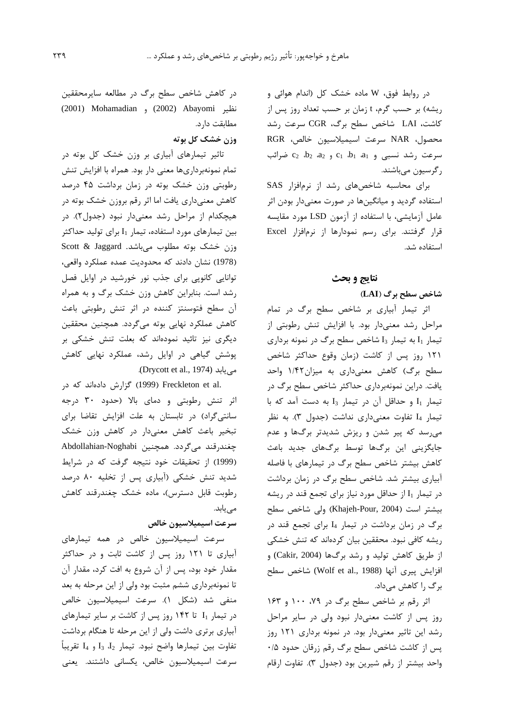در روابط فوق، W ماده خشک کل (اندام هوائی و ریشه) بر حسب گرم، t زمان بر حسب تعداد روز پس از كاشت، LAI شاخص سطح برگ، CGR سرعت رشد محصول، NAR سرعت اسيميلاسيون خالص، RGR  $c_2$  سرعت رشد نسبی و  $c_1$ ،  $b_1$  و  $c_2$ ،  $c_2$   $b_2$  ضرائب ر گرسیون میباشند.

برای محاسبه شاخصهای رشد از نرمافزار SAS استفاده گردید و میانگینها در صورت معنیدار بودن اثر عامل آزمایشی، با استفاده از آزمون LSD مورد مقایسه قرار گرفتند. برای رسم نمودارها از نرمافزار Excel استفاده شد.

# نتايج و بحث

# شاخص سطح برگ (LAI)

اثر تیمار آبیاری بر شاخص سطح برگ در تمام مراحل رشد معنیدار بود. با افزایش تنش رطوبتی از تیمار 1<sub>1</sub> به تیمار 1<sub>3</sub> شاخص سطح برگ در نمونه برداری ۱۲۱ روز پس از کاشت (زمان وقوع حداکثر شاخص سطح برگ) كاهش معنى دارى به ميزان١/۴٢ واحد یافت. دراین نمونهبرداری حداکثر شاخص سطح برگ در تیمار I1 و حداقل آن در تیمار I3 به دست آمد که با تیمار I4 تفاوت معنیداری نداشت (جدول ٣). به نظر می رسد که پیر شدن و ریزش شدیدتر برگها و عدم جایگزینی این برگها توسط برگهای جدید باعث کاهش بیشتر شاخص سطح برگ در تیمارهای با فاصله آبیاری بیشتر شد. شاخص سطح برگ در زمان برداشت در تیمار 11 از حداقل مورد نیاز برای تجمع قند در ریشه بيشتر است (Khajeh-Pour, 2004) ولي شاخص سطح برگ در زمان برداشت در تیمار I4 برای تجمع قند در ریشه کافی نبود. محققین بیان کردهاند که تنش خشکی از طريق كاهش توليد و رشد برگها (Cakir, 2004) و افزايش پيري آنها (Wolf et al., 1988) شاخص سطح برگ را كاهش مىداد.

اثر رقم بر شاخص سطح برگ در ۷۹، ۱۰۰ و ۱۶۳ روز پس از کاشت معنیدار نبود ولی در سایر مراحل رشد این تاثیر معنی دار بود. در نمونه برداری ۱۲۱ روز یس از کاشت شاخص سطح برگ رقم زرقان حدود ۰/۵ واحد بيشتر از رقم شيرين بود (جدول ٣). تفاوت ارقام

در کاهش شاخص سطح برگ در مطالعه سایرمحققین نظير (2001) Mohamadian و (2002) Abayomi) مطابقت دارد.

# وزن خشک کل بوته

تاثیر تیمارهای آبیاری بر وزن خشک کل بوته در تمام نمونهبرداريها معنى دار بود. همراه با افزايش تنش رطوبتی وزن خشک بوته در زمان برداشت ۴۵ درصد كاهش معنىداري يافت اما اثر رقم بروزن خشك بوته در هیچکدام از مراحل رشد معنیدار نبود (جدول۲). در بین تیمارهای مورد استفاده، تیمار  $I_1$  برای تولید حداکثر وزن خشک بوته مطلوب میباشد. Scott & Jaggard (1978) نشان دادند که محدودیت عمده عملکرد واقعی، توانایی کانوپی برای جذب نور خورشید در اوایل فصل رشد است. بنابراین کاهش وزن خشک برگ و به همراه آن سطح فتوسنتز کننده در اثر تنش رطوبتی باعث كاهش عملكرد نهايي بوته مي گردد. همچنين محققين دیگری نیز تائید نمودهاند که بعلت تنش خشکی بر پوشش گیاهی در اوایل رشد، عملکرد نهایی کاهش .(Drycott et al., 1974).

.Freckleton et al (1999) Freckleton et al کزارش دادهاند که در اثر تنش رطوبتی و دمای بالا (حدود ٣٠ درجه سانتی گراد) در تابستان به علت افزایش تقاضا برای تبخیر باعث کاهش معنیدار در کاهش وزن خشک چغندرقند میگردد. همچنین Abdollahian-Noghabi (1999) از تحقیقات خود نتیجه گرفت که در شرایط شدید تنش خشکی (آبیاری پس از تخلیه ۸۰ درصد رطوبت قابل دسترس)، ماده خشک چغندرقند کاهش مے یابد.

# سرعت اسيميلاسيون خالص

سرعت اسیمیلاسیون خالص در همه تیمارهای آبیاری تا ۱۲۱ روز پس از کاشت ثابت و در حداکثر مقدار خود بود، پس از آن شروع به افت کرد، مقدار آن تا نمونهبرداری ششم مثبت بود ولی از این مرحله به بعد منفی شد (شکل ۱). سرعت اسیمیلاسیون خالص  $I_1$  در تیمار  $I_1$  تا ۱۴۲ روز پس از کاشت بر سایر تیمارهای آبیاری برتری داشت ولی از این مرحله تا هنگام برداشت تفاوت بين تيمارها واضح نبود. تيمار 4<sub>3 و 4</sub>4 تقريباً سرعت اسیمیلاسیون خالص، یکسانی داشتند. یعنی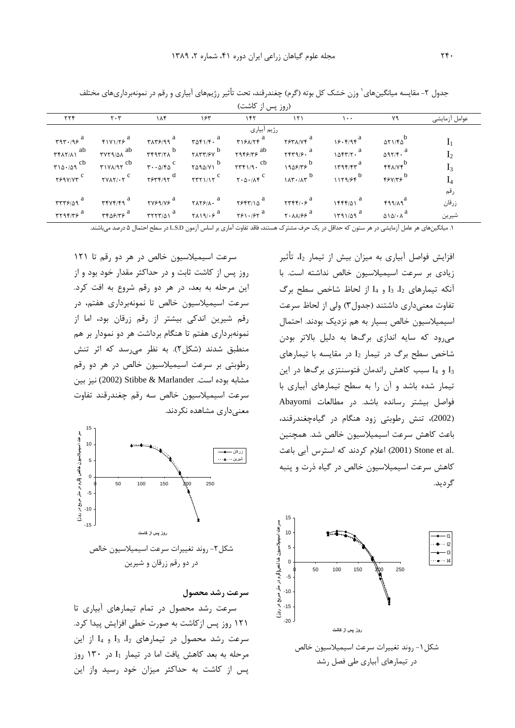| (روز پس از کاشت)                                                            |                               |                     |     |     |   |                                                                                                                                                                                                                |                                    |                |  |  |
|-----------------------------------------------------------------------------|-------------------------------|---------------------|-----|-----|---|----------------------------------------------------------------------------------------------------------------------------------------------------------------------------------------------------------------|------------------------------------|----------------|--|--|
| $\gamma \gamma \gamma$                                                      | $\mathbf{Y} \cdot \mathbf{Y}$ | $\lambda \Lambda f$ | ۱۶۳ | 157 | Y | $\lambda$                                                                                                                                                                                                      | ٧٩                                 | عوامل آزمايشي  |  |  |
| رژیم آبیاری                                                                 |                               |                     |     |     |   |                                                                                                                                                                                                                |                                    |                |  |  |
|                                                                             |                               |                     |     |     |   |                                                                                                                                                                                                                | $\Delta Y$                         |                |  |  |
|                                                                             |                               |                     |     |     |   | $\tau$ $\tau$ <sub>1</sub> ab $\tau$ $\tau$ <sub>1</sub> ab $\tau$ $\tau$ <sub>1</sub> ab $\tau$ <sub>1</sub> a $\tau$ <sub>1</sub> a $\tau$ <sub>1</sub> a $\tau$ <sub>1</sub> a $\tau$ <sub>1</sub> a $\tau$ |                                    | I <sub>2</sub> |  |  |
| $\mathsf{r} \setminus \mathsf{r} \setminus \mathsf{r} \setminus \mathsf{r}$ |                               |                     |     |     |   | $\gamma$                                                                                                                                                                                                       | <b>FFANF</b>                       | $I_3$          |  |  |
|                                                                             |                               |                     |     |     |   | $\gamma$                                                                                                                                                                                                       |                                    | $I_4$          |  |  |
|                                                                             |                               |                     |     |     |   |                                                                                                                                                                                                                |                                    | رقم            |  |  |
|                                                                             |                               |                     |     |     |   | $\pi$                                                                                                                                                                                                          | $f99/A9^a$                         | زرقان          |  |  |
|                                                                             |                               |                     |     |     |   |                                                                                                                                                                                                                | $\Delta \Delta / \Delta / \Lambda$ | شيرين          |  |  |

جدول ۲- مقایسه میانگینهای<sup>٬</sup> وزن خشک کل بوته (گرم) چغندرقند، تحت تأثیر رژیمهای آبیاری و رقم در نمونهبرداریهای مختلف

۱. میانگینهای هر عامل آزمایشی در هر ستون که حداقل در یک حرف مشترک هستند، فاقد تفاوت آماری بر اساس آزمون L.S.D در سطح احتمال ۵ درصد می باشند.

سرعت اسیمیلاسیون خالص در هر دو رقم تا ١٢١ روز پس از کاشت ثابت و در حداکثر مقدار خود بود و از این مرحله به بعد، در هر دو رقم شروع به افت کرد. سرعت اسیمیلاسیون خالص تا نمونهبرداری هفتم، در رقم شیرین اندکی بیشتر از رقم زرقان بود، اما از نمونهبرداری هفتم تا هنگام برداشت هر دو نمودار بر هم منطبق شدند (شکل۲). به نظر میرسد که اثر تنش رطوبتی بر سرعت اسیمیلاسیون خالص در هر دو رقم مشابه بوده است. Stibbe & Marlander (2002) نيز بين سرعت اسیمیلاسیون خالص سه رقم چغندرقند تفاوت معنی داری مشاهده نکردند.



در دو رقم زرقان و شیرین

سرعت اسیمیلاسیون خاص (گرم بر متر مربع بر روز)

 $10<sup>10</sup>$ 

 $\overline{5}$ 

 $\mathfrak{o}$ 

 $-5$  $-10$ 

 $-15$ 

سرعت رشد محصول

سرعت رشد محصول در تمام تيمارهاى آبيارى تا ۱۲۱ روز پس از کاشت به صورت خطی افزایش پیدا کرد. سرعت رشد محصول در تیمارهای I3 J<sub>3</sub> و I<sub>4</sub> از این مرحله به بعد كاهش يافت اما در تيمار 11 در ١٣٠ روز پس از کاشت به حداکثر میزان خود رسید واز این افزایش فواصل آبیاری به میزان بیش از تیمار  $\mathrm{I}_2$  تأثیر زیادی بر سرعت اسیمیلاسیون خالص نداشته است. با  $I_1$  آنکه تیمارهای  $I_2$   $I_3$   $I_4$  و  $I_4$  از لحاظ شاخص سطح برگ تفاوت معنیداری داشتند (جدول۳) ولی از لحاظ سرعت اسیمیلاسیون خالص بسیار به هم نزدیک بودند. احتمال می رود که سایه اندازی برگها به دلیل بالاتر بودن شاخص سطح برگ در تیمار I2 در مقایسه با تیمارهای و 14 سبب كاهش راندمان فتوسنتزى برگها در اين I3 تیمار شده باشد و آن را به سطح تیمارهای آبیاری با فواصل بیشتر رسانده باشد. در مطالعات Abayomi (2002)، تنش رطوبتی زود هنگام در گیاهچغندرقند، باعث كاهش سرعت اسيميلاسيون خالص شد. همچنين .Stone et al (2001) اعلام كردند كه استرس آبي باعث کاهش سرعت اسیمیلاسیون خالص در گیاه ذرت و پنبه گر ديد.

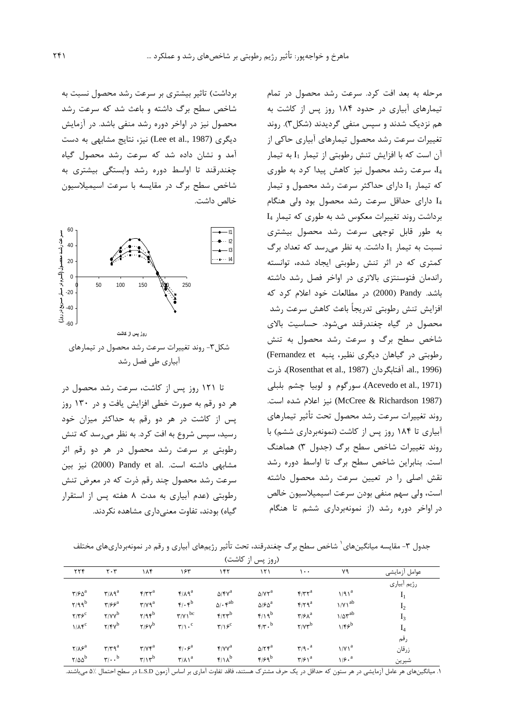برداشت) تاثیر بیشتری بر سرعت رشد محصول نسبت به شاخص سطح برگ داشته و باعث شد که سرعت رشد محصول نیز در اواخر دوره رشد منفی باشد. در آزمایش دیگری (Lee et al., 1987) نیز، نتایج مشابهی به دست آمد و نشان داده شد که سرعت رشد محصول گیاه چغندرقند تا اواسط دوره رشد وابستگی بیشتری به شاخص سطح برگ در مقایسه با سرعت اسیمیلاسیون خالص داشت.



شکل۳- روند تغییرات سرعت رشد محصول در تیمارهای آبیاری طے فصل رشد

تا ۱۲۱ روز پس از کاشت، سرعت رشد محصول در هر دو رقم به صورت خطی افزایش یافت و در ۱۳۰ روز پس از کاشت در هر دو رقم به حداکثر میزان خود رسید، سپس شروع به افت کرد. به نظر میرسد که تنش رطوبتی بر سرعت رشد محصول در هر دو رقم اثر مشابهی داشته است. .Pandy et al (2000) نیز بین سرعت رشد محصول چند رقم ذرت که در معرض تنش رطوبتی (عدم آبیاری به مدت ۸ هفته پس از استقرار گیاه) بودند، تفاوت معنے داری مشاهده نکردند.

مرحله به بعد افت کرد. سرعت رشد محصول در تمام تیمارهای آبیاری در حدود ۱۸۴ روز پس از کاشت به هم نزدیک شدند و سیس منفی گردیدند (شکل۳). روند تغییرات سرعت رشد محصول تیمارهای آبیاری حاکی از آن است كه با افزايش تنش رطوبتي از تيمار 11 به تيمار ، سرعت رشد محصول نیز کاهش پیدا کرد به طوری که تیمار I1 دارای حداکثر سرعت رشد محصول و تیمار دارای حداقل سرعت رشد محصول بود ولی هنگام I4 برداشت روند تغییرات معکوس شد به طوری که تیمار I4 به طور قابل توجهي سرعت رشد محصول بيشترى نسبت به تیمار I1 داشت. به نظر می رسد که تعداد برگ کمتری که در اثر تنش رطوبتی ایجاد شده، توانسته راندمان فتوسنتزى بالاترى در اواخر فصل رشد داشته باشد. Pandy (2000) در مطالعات خود اعلام کرد که افزایش تنش رطوبتی تدریجاً باعث کاهش سرعت رشد محصول در گیاه چغندرقند میشود. حساسیت بالای شاخص سطح برگ و سرعت رشد محصول به تنش رطوبتی در گیاهان دیگری نظیر، پنبه Fernandez et) (al., 1996). أفتابگردان (Rosenthat et al., 1987)، ذرت (Acevedo et al., 1971)، سورگوم و لوبيا چشم بلبلي (McCree & Richardson 1987) نيز اعلام شده است. روند تغييرات سرعت رشد محصول تحت تأثير تيمارهاى آبیاری تا ۱۸۴ روز پس از کاشت (نمونهبرداری ششم) با روند تغییرات شاخص سطح برگ (جدول ٣) هماهنگ است. بنابراین شاخص سطح برگ تا اواسط دوره رشد نقش اصلی را در تعیین سرعت رشد محصول داشته است، ولي سهم منفي بودن سرعت اسيميلاسيون خالص در اواخر دوره رشد (از نمونهبرداری ششم تا هنگام

جدول ۳- مقایسه میانگینهای ٔ شاخص سطح برگ چغندرقند، تحت تأثیر رژیمهای آبیاری و رقم در نمونهبرداریهای مختلف

| (روز پس از کاشت)                               |                                        |                                                |                                            |                                      |                                             |                                          |                            |                |  |
|------------------------------------------------|----------------------------------------|------------------------------------------------|--------------------------------------------|--------------------------------------|---------------------------------------------|------------------------------------------|----------------------------|----------------|--|
| $\tau\tau f$                                   | $\mathbf{y} \cdot \mathbf{r}$          | ۱۸۴                                            | ۱۶۳                                        | ۱۴۲                                  | ۱۲۱                                         | $\lambda$                                | ٧٩                         | عوامل آزمايشي  |  |
|                                                |                                        |                                                |                                            |                                      |                                             |                                          |                            | رژيم أبياري    |  |
| $\mathbf{Y}/\mathbf{P}\mathbf{A}^{\mathrm{a}}$ | $\mathbf{r}/\mathbf{A}^a$              | $\mathfrak{f}/\mathfrak{r}\mathfrak{r}^a$      | $f/\lambda q^a$                            | $\Delta$ /۴ $V^a$                    | $\Delta$ / $Y^a$                            | $f/\tau \tau^a$                          | $1/91^a$                   | $I_1$          |  |
| $Y/99^b$                                       | $\mathbf{y}/\mathbf{y}$                | $\mathbf{r}/\mathbf{v}\mathbf{q}^{\mathrm{a}}$ | $\mathfrak{r}/\mathfrak{r}^{\mathfrak{b}}$ | $\Delta/\cdot \mathfrak{f}^{ab}$     | $\Delta$ / $\epsilon$ $\Delta$ <sup>a</sup> | $f/f q^a$                                | $\frac{1}{V}$              | I <sub>2</sub> |  |
| Y/Y                                            | $\gamma/\gamma v^b$                    | $Y/9$ ۴ $b$                                    | $\gamma/\gamma$ <sup>bc</sup>              | $f/\tau r^b$                         | $f/\sqrt{p}$                                | $\mathbf{r}/\mathbf{r}$ <sup>a</sup>     | $1/\Delta \mathbf{r}^{ab}$ | $I_3$          |  |
| $1/\Lambda f^c$                                | $\gamma/\mathfrak{r}\gamma^b$          | $\gamma/\gamma v^b$                            | $\mathbf{r}/\mathbf{1} \cdot \mathbf{c}$   | $\mathbf{r}/\mathbf{v}^{\mathrm{c}}$ | $\mathfrak{f}/\mathfrak{r}$ . <sup>b</sup>  | $Y/Y^b$                                  | $1/F5^b$                   | $I_4$          |  |
|                                                |                                        |                                                |                                            |                                      |                                             |                                          |                            | رقم            |  |
| $Y/\lambda \xi^a$                              | $\mathbf{r}/\mathbf{r}$ q <sup>a</sup> | $\mathbf{r}/\mathbf{v}\mathbf{r}^{\mathrm{a}}$ | $\mathfrak{f}/\mathfrak{f}^a$              | $f$ / $V^a$                          | $\Delta$ / $\Upsilon$ <sup>a</sup>          | $\mathbf{r}/\mathbf{q} \cdot \mathbf{a}$ | 1/V1 <sup>a</sup>          | زرقان          |  |
| $\frac{1}{4}$                                  | $\mathbf{r}/\cdot \cdot$ <sup>b</sup>  | $\eta/\eta^b$                                  | $\mathsf{r}/\mathsf{A}$                    | $f/\lambda^b$                        | $F/F9^b$                                    | $\mathbf{r}/\mathbf{r}$                  | $1/f \cdot a$              | شىر بن         |  |

.<br>١. ميانگينهاي هر عامل آزمايشي در هر ستون كه حداقل در يک حرف مشترک هستند، فاقد تفاوت آماري بر اساس آزمون L.S.D در سطح احتمال ۵٪ مي!شند.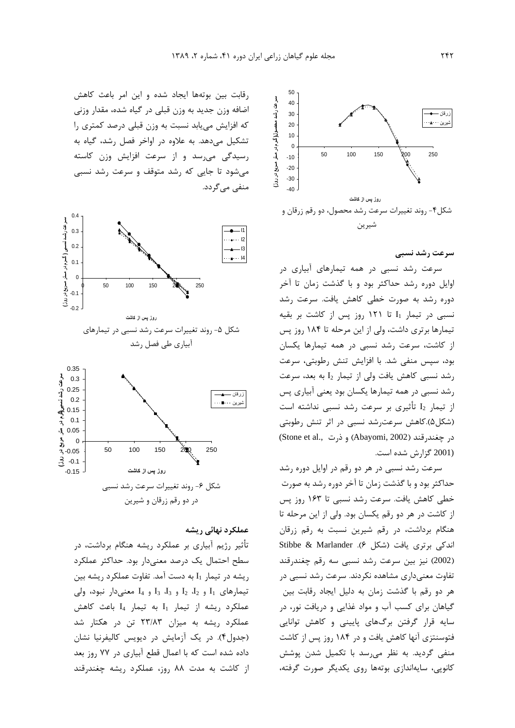

سرعت رشد نسبی

سرعت رشد نسبی در همه تیمارهای آبیاری در اوایل دوره رشد حداکثر بود و با گذشت زمان تا آخر دوره رشد به صورت خطی کاهش یافت. سرعت رشد نسبی در تیمار I<sub>1</sub> تا ۱۲۱ روز پس از کاشت بر بقیه تیمارها برتری داشت، ولی از این مرحله تا ۱۸۴ روز پس از کاشت، سرعت رشد نسبی در همه تیمارها یکسان بود، سپس منفی شد. با افزایش تنش رطوبتی، سرعت رشد نسبی کاهش یافت ولی از تیمار I2 به بعد، سرعت رشد نسبی در همه تیمارها یکسان بود یعنی آبیاری پس از تیمار  $I_2$  تأثیری بر سرعت رشد نسبی نداشته است (شکل۵).کاهش سرعت رشد نسبی در اثر تنش رطوبتی در چغندرقند (Abayomi, 2002) و ذرت Stone et al., (2001 گزارش شده است.

سرعت رشد نسبی در هر دو رقم در اوایل دوره رشد حداکثر بود و با گذشت زمان تا آخر دوره رشد به صورت خطی کاهش یافت. سرعت رشد نسبی تا ۱۶۳ روز پس از كاشت در هر دو رقم يكسان بود. ولي از اين مرحله تا هنگام برداشت، در رقم شیرین نسبت به رقم زرقان Stibbe & Marlander .(۶ شکل ۶). Stibbe & Marlander (2002) نیز بین سرعت رشد نسبی سه رقم چغندرقند تفاوت معنیداری مشاهده نکردند. سرعت رشد نسبی در هر دو رقم با گذشت زمان به دلیل ایجاد رقابت بین گیاهان برای کسب آب و مواد غذایی و دریافت نور، در سایه قرار گرفتن برگهای پایینی و کاهش توانایی فتوسنتزی آنها کاهش یافت و در ۱۸۴ روز پس از کاشت منفی گردید. به نظر می سد با تکمیل شدن پوشش کانویی، سایهاندازی بوتهها روی یکدیگر صورت گرفته،

رقابت بین بوتهها ایجاد شده و این امر باعث کاهش اضافه وزن جدید به وزن قبلی در گیاه شده، مقدار وزنی که افزایش می پابد نسبت به وزن قبلی درصد کمتری را تشکیل میدهد. به علاوه در اواخر فصل رشد، گیاه به رسیدگی می,رسد و از سرعت افزایش وزن کاسته می شود تا جایی که رشد متوقف و سرعت رشد نسبی منفی مے گردد.



#### عملکرد نهائی ریشه

تأثیر رژیم آبیاری بر عملکرد ریشه هنگام برداشت، در سطح احتمال یک درصد معنیدار بود. حداکثر عملکرد ریشه در تیمار I1 به دست آمد. تفاوت عملکرد ریشه بین  $I_1$  تیمارهای  $I_1$  و  $I_2$   $I_2$  و  $I_3$   $I_3$  و  $I_4$  و  $I_5$  و  $I_2$  و تیود، ولی عملكرد ريشه از تيمار I1 به تيمار I4 باعث كاهش عملکرد ریشه به میزان ۲۳/۸۳ تن در هکتار شد (جدول۴). در یک آزمایش در دیویس کالیفرنیا نشان داده شده است که با اعمال قطع آبیاری در ۷۷ روز بعد از کاشت به مدت ۸۸ روز، عملکرد ریشه چغندرقند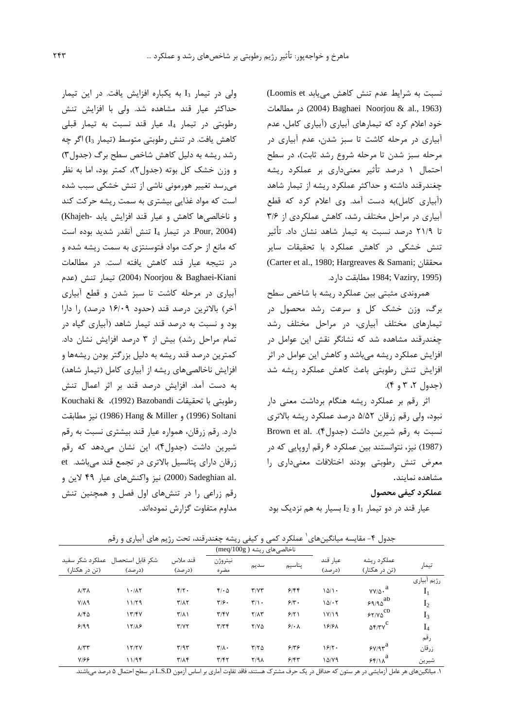نسبت به شرایط عدم تنش کاهش می یابد Loomis et) در مطالعات (2004) Baghaei Noorjou & al., 1963) خود اعلام کرد که تیمارهای آبیاری (آبیاری کامل، عدم آبیاری در مرحله کاشت تا سبز شدن، عدم آبیاری در مرحله سبز شدن تا مرحله شروع رشد ثابت)، در سطح احتمال ۱ درصد تأثیر معنیداری بر عملکرد ریشه چغندرقند داشته و حداکثر عملکرد ریشه از تیمار شاهد (أبياري كامل)به دست آمد. وي اعلام كرد كه قطع آبیاری در مراحل مختلف رشد، کاهش عملکردی از ٣/۶ تا ۲۱/۹ درصد نسبت به تیمار شاهد نشان داد. تأثیر تنش خشکی در کاهش عملکرد با تحقیقات سایر (Carter et al., 1980; Hargreaves & Samani; محققان 1984; Vaziry, 1995) مطابقت دارد.

همروندی مثبتی بین عملکرد ریشه با شاخص سطح برگ، وزن خشک کل و سرعت رشد محصول در تیمارهای مختلف آبیاری، در مراحل مختلف رشد چغندرقند مشاهده شد که نشانگر نقش این عوامل در افزایش عملکرد ریشه میباشد و کاهش این عوامل در اثر افزایش تنش رطوبتی باعث کاهش عملکرد ریشه شد (جدول ۲، ۳ و ۴).

اثر رقم بر عملکرد ریشه هنگام برداشت معنی دار نبود، ولی رقم زرقان ۵/۵۲ درصد عملکرد ریشه بالاتری نسبت به رقم شیرین داشت (جدول۴). Brown et al. (1987) نیز، نتوانستند بین عملکرد ۶ رقم اروپایی که در معرض تنش رطوبتی بودند اختلافات معنیداری را مشاهده نماىند.

#### عملكرد كيفي محصول

عيار قند در دو تيمار  $I_1$ و  $I_2$  بسيار به هم نزديک بود

ولی در تیمار I3 به یکباره افزایش یافت. در این تیمار حداکثر عیار قند مشاهده شد. ولی با افزایش تنش رطوبتی در تیمار I4، عیار قند نسبت به تیمار قبلی كاهش يافت. در تنش رطوبتي متوسط (تيمار [I] اگر چه رشد ریشه به دلیل کاهش شاخص سطح برگ (جدول٣) و وزن خشک کل بوته (جدول۲)، کمتر بود، اما به نظر می رسد تغییر هورمونی ناشی از تنش خشکی سبب شده است که مواد غذایی بیشتری به سمت ریشه حرکت کند و ناخالصیها کاهش و عیار قند افزایش یابد -Khajeh) Pour, 2004). در تيمار I4 تنش آنقدر شديد بوده است که مانع از حرکت مواد فتوسنتزی به سمت ریشه شده و در نتيجه عيار قند كاهش يافته است. در مطالعات تيمار تنش (عدم) Noorjou & Baghaei-Kiani آبیاری در مرحله کاشت تا سبز شدن و قطع آبیاری آخر) بالاترين درصد قند (حدود ١۶/٠٩ درصد) ,ا دارا بود و نسبت به درصد قند تیمار شاهد (آبیاری گیاه در تمام مراحل رشد) بیش از ۳ درصد افزایش نشان داد. کمترین درصد قند ریشه به دلیل بزرگتر بودن ریشهها و افزایش ناخالصیهای ریشه از آبیاری کامل (تیمار شاهد) به دست آمد. افزایش درصد قند بر اثر اعمال تنش Kouchaki & (1992) Bazobandi (قوبتى با تحقيقات (1996) و Hang & Miller (1996) Soltani نيز مطابقت دارد. رقم زرقان، همواره عيار قند بيشتري نسبت به رقم شیرین داشت (جدول۴)، این نشان میدهد که رقم زرقان دارای پتانسیل بالاتری در تجمع قند میباشد. et .Sadeghian al (2000) نيز واكنش هاي عيار ۴۹ لاين و رقم زراعی را در تنشهای اول فصل و همچنین تنش مداوم متفاوت گزارش نمودهاند.

| رزیته سی بیتری و رس<br>یکر میتی رئیسی رہ<br>≕ت~ت<br>. - د ن |                  |                            |                             |                             |           |          |                               |                |  |  |
|-------------------------------------------------------------|------------------|----------------------------|-----------------------------|-----------------------------|-----------|----------|-------------------------------|----------------|--|--|
| ناخالصی های ریشه ( meq/100g)                                |                  |                            |                             |                             |           |          |                               |                |  |  |
| عملکرد شکر سفید                                             | شكر قابل استحصال | قند ملاس                   | نيتروژن                     | سديم                        | پتاسيم    | عيار قند | عملکر د ریشه                  | تيمار          |  |  |
| (تن در هکتار)                                               | (درصد)           | (درصد)                     | مضره                        |                             |           | (درصد)   | (تن در هکتار)                 |                |  |  |
|                                                             |                  |                            |                             |                             |           |          |                               | رژیم أبیاری    |  |  |
| $\lambda/\Upsilon\Lambda$                                   | 1.1              | $f/\gamma$ .               | $f/\cdot \Delta$            | $\Upsilon/\Upsilon\Upsilon$ | 9/99      | 10/1     | $v_{V/\Delta}$ . <sup>a</sup> | $I_1$          |  |  |
| $Y/\Lambda$ 9                                               | 11/79            | $\Upsilon/\Lambda\Upsilon$ | $\mathbf{y}$                | $\Upsilon/\Upsilon$ .       | 5/5       | $10/-7$  | $59/90^{ab}$                  | I <sub>2</sub> |  |  |
| $A/F\Delta$                                                 | 17/FV            | $\Upsilon/\Lambda$         | Y/Y                         | $Y/\Lambda Y$               | 9/51      | 1Y/19    | $55/10$ <sup>cb</sup>         | $I_3$          |  |  |
| 9/99                                                        | 17/18            | Y/YY                       | $\tau/\tau$                 | $Y/Y\Delta$                 | $9.1 - A$ | 18181    | $\Delta f/YV^C$               | $I_4$          |  |  |
|                                                             |                  |                            |                             |                             |           |          |                               | رقم            |  |  |
| $\lambda$ /٣٣                                               | 17/7V            | T/T                        | $\mathbf{r}/\mathbf{r}$ .   | $Y/Y$ $\Delta$              | 518       | 18/7     | $\gamma$                      | زرقان          |  |  |
| $Y/\mathcal{F}\mathcal{F}$                                  | 11/9f            | $\Upsilon/\Lambda f$       | $\Upsilon/\Upsilon\Upsilon$ | Y/9A                        | 5/57      | 14/79    | a<br>55/11                    | شيرين          |  |  |

حدول ۴- مقايسه مبانگ زهای ۱ عملک درکمی و کیفی، پشه حغند،قند، تحت شم های آبیاری و رقم

۱. میانگینهای هر عامل آزمایشی در هر ستون که حداقل در یک حرف مشترک هستند، فاقد تفاوت آماری بر اساس آزمون L.S.D در سطح احتمال ۵ درصد می باشند.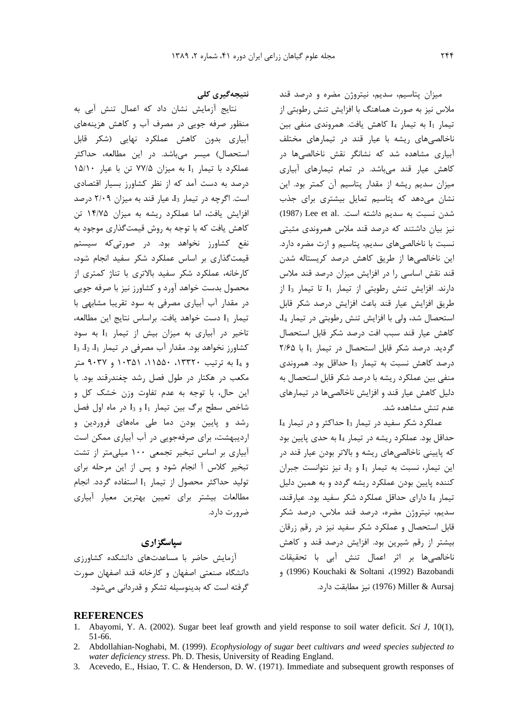میزان یتاسیم، سدیم، نیتروژن مضره و درصد قند ملاس نیز به صورت هماهنگ با افزایش تنش رطوبتی از تیمار I1 به تیمار I4 کاهش یافت. همروندی منفی بین ناخالصی های ریشه با عیار قند در تیمارهای مختلف آبیاری مشاهده شد که نشانگر نقش ناخالصیها در كاهش عيار قند مى باشد. در تمام تيمارهاى آبيارى میزان سدیم ریشه از مقدار پتاسیم آن کمتر بود. این نشان میدهد که پتاسیم تمایل بیشتری برای جذب شدن نسبت به سديم داشته است. .Lee et al (1987) نیز بیان داشتند که درصد قند ملاس همروندی مثبتی نسبت با ناخالصی های سدیم، پتاسیم و ازت مضره دارد. این ناخالصیها از طریق کاهش درصد کریستاله شدن قند نقش اساسی را در افزایش میزان درصد قند ملاس  $I_3$  دارند. افزایش تنش رطوبتی از تیمار  $I_1$  تا تیمار  $I_3$  از طريق افزايش عيار قند باعث افزايش درصد شكر قابل استحصال شد، ولي با افزايش تنش رطوبتي در تيمار 4<sub>4</sub> كاهش عيار قند سبب افت درصد شكر قابل استحصال گردید. درصد شکر قابل استحصال در تیمار I<sub>1</sub> با ۲/۶۵  $I_3$  درصد كاهش نسبت به تيمار  $I_3$  حداقل بود. همروندى منفی بین عملکرد ریشه با درصد شکر قابل استحصال به دلیل کاهش عیار قند و افزایش ناخالصی ها در تیمارهای عدم تنش مشاهده شد.

 $I_4$  عملکرد شکر سفید در تیمار  $I_3$  حداکثر و در تیمار حداقل بود. عملکرد ریشه در تیمار 4l به حدی پایین بود که پایینی ناخالصیهای ریشه و بالاتر بودن عیار قند در این تیمار، نسبت به تیمار  $I_1$  و  $I_2$ ، نیز نتوانست جبران کننده پایین بودن عملکرد ریشه گردد و به همین دلیل تیمار I4 دارای حداقل عملکرد شکر سفید بود. عیارقند، سدیم، نیتروژن مضره، درصد قند ملاس، درصد شکر قابل استحصال و عملکرد شکر سفید نیز در رقم زرقان بیشتر از رقم شیرین بود. افزایش درصد قند و کاهش ناخالصیها بر اثر اعمال تنش آبی با تحقیقات (1992) Kouchaki & Soltani (1992) Bazobandi Miller & Aursaj نيز مطابقت دارد.

# نتیجەگیرى كلى

نتایج آزمایش نشان داد که اعمال تنش آبی به منظور صرفه جويى در مصرف آب و كاهش هزينههاى آبیاری بدون کاهش عملکرد نهایی (شکر قابل استحصال) میسر میباشد. در این مطالعه، حداکثر عملكرد با تيمار I1 به ميزان ٧٧/۵ تن با عيار ١۵/١٠ درصد به دست آمد که از نظر کشاورز بسیار اقتصادی است. اگرچه در تیمار I3 عیار قند به میزان ٢/٠٩ درصد افزایش یافت، اما عملکرد ریشه به میزان ۱۴/۷۵ تن كاهش يافت كه با توجه به روش قيمتگذاري موجود به نفع کشاورز نخواهد بود. در صورتیکه سیستم قیمت گذاری بر اساس عملکرد شکر سفید انجام شود، کارخانه، عملکرد شکر سفید بالاتری با تناژ کمتری از محصول بدست خواهد آورد و کشاورز نیز با صرفه جویی در مقدار آب آبیاری مصرفی به سود تقریبا مشابهی با تيمار I1 دست خواهد يافت. براساس نتايج اين مطالعه، تاخیر در آبیاری به میزان بیش از تیمار I<sub>1</sub> به سود  $I_3$   $I_2$   $I_1$  كشاورز نخواهد بود. مقدار آب مصرفى در تيمار  $I_1$   $I_2$ و 14 به ترتیب ۱۳۳۲۰، ۱۱۵۵۰، ۱۰۳۵۱ و ۹۰۳۷ متر مکعب در هکتار در طول فصل رشد چغندرقند بود. با این حال، با توجه به عدم تفاوت وزن خشک کل و شاخص سطح برگ بين تيمار  $I_1$  و  $I_3$  در ماه اول فصل رشد و پایین بودن دما طی ماههای فروردین و اردیبهشت، برای صرفهجویی در آب آبیاری ممکن است آبیاری بر اساس تبخیر تجمعی ۱۰۰ میلی متر از تشت تبخیر کلاس آ انجام شود و پس از این مرحله برای توليد حداكثر محصول از تيمار I1 استفاده گردد. انجام مطالعات بیشتر برای تعیین بهترین معیار آبیاری ضرورت دارد.

### سیاسگز اری

آزمایش حاضر با مساعدتهای دانشکده کشاورزی دانشگاه صنعتی اصفهان و کارخانه قند اصفهان صورت گرفته است که بدینوسیله تشکر و قدردانی میشود.

#### **REFERENCES**

- 1. Abayomi, Y. A. (2002). Sugar beet leaf growth and yield response to soil water deficit. Sci J, 10(1), 51-66.
- 2. Abdollahian-Noghabi, M. (1999). Ecophysiology of sugar beet cultivars and weed species subjected to water deficiency stress. Ph. D. Thesis, University of Reading England.
- 3. Acevedo, E., Hsiao, T. C. & Henderson, D. W. (1971). Immediate and subsequent growth responses of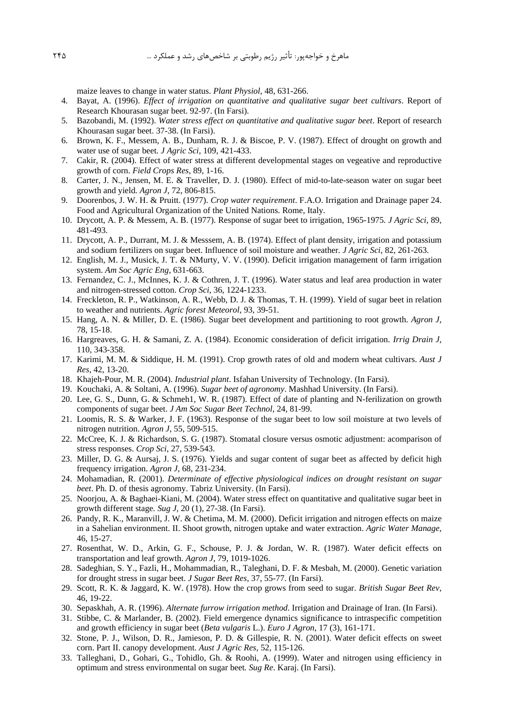maize leaves to change in water status. *Plant Physiol*, 48, 631-266.

- 4. Bayat, A. (1996). *Effect of irrigation on quantitative and qualitative sugar beet cultivars*. Report of Research Khourasan sugar beet. 92-97. (In Farsi).
- 5. Bazobandi, M. (1992). *Water stress effect on quantitative and qualitative sugar beet*. Report of research Khourasan sugar beet. 37-38. (In Farsi).
- 6. Brown, K. F., Messem, A. B., Dunham, R. J. & Biscoe, P. V. (1987). Effect of drought on growth and water use of sugar beet*. J Agric Sci*, 109, 421-433.
- 7. Cakir, R. (2004). Effect of water stress at different developmental stages on vegeative and reproductive growth of corn. *Field Crops Res*, 89, 1-16.
- 8. Carter, J. N., Jensen, M. E. & Traveller, D. J. (1980). Effect of mid-to-late-season water on sugar beet growth and yield*. Agron J*, 72, 806-815.
- 9. Doorenbos, J. W. H. & Pruitt. (1977). *Crop water requirement*. F.A.O. Irrigation and Drainage paper 24. Food and Agricultural Organization of the United Nations. Rome, Italy.
- 10. Drycott, A. P. & Messem, A. B. (1977). Response of sugar beet to irrigation, 1965-1975*. J Agric Sci*, 89, 481-493.
- 11. Drycott, A. P., Durrant, M. J. & Messsem, A. B. (1974). Effect of plant density, irrigation and potassium and sodium fertilizers on sugar beet. Influence of soil moisture and weather*. J Agric Sci*, 82, 261-263.
- 12. English, M. J., Musick, J. T. & NMurty, V. V. (1990). Deficit irrigation management of farm irrigation system. *Am Soc Agric Eng*, 631-663.
- 13. Fernandez, C. J., McInnes, K. J. & Cothren, J. T. (1996). Water status and leaf area production in water and nitrogen-stressed cotton. *Crop Sci*, 36, 1224-1233.
- 14. Freckleton, R. P., Watkinson, A. R., Webb, D. J. & Thomas, T. H. (1999). Yield of sugar beet in relation to weather and nutrients. *Agric forest Meteorol*, 93, 39-51.
- 15. Hang, A. N. & Miller, D. E. (1986). Sugar beet development and partitioning to root growth. *Agron J*, 78, 15-18.
- 16. Hargreaves, G. H. & Samani, Z. A. (1984). Economic consideration of deficit irrigation*. Irrig Drain J*, 110, 343-358.
- 17. Karimi, M. M. & Siddique, H. M. (1991). Crop growth rates of old and modern wheat cultivars. *Aust J Res*, 42, 13-20.
- 18. Khajeh-Pour, M. R. (2004). *Industrial plant*. Isfahan University of Technology. (In Farsi).
- 19. Kouchaki, A. & Soltani, A. (1996). *Sugar beet of agronomy*. Mashhad University. (In Farsi).
- 20. Lee, G. S., Dunn, G. & Schmeh1, W. R. (1987). Effect of date of planting and N-ferilization on growth components of sugar beet. *J Am Soc Sugar Beet Technol*, 24, 81-99.
- 21. Loomis, R. S. & Warker, J. F. (1963). Response of the sugar beet to low soil moisture at two levels of nitrogen nutrition. *Agron J*, 55, 509-515.
- 22. McCree, K. J. & Richardson, S. G. (1987). Stomatal closure versus osmotic adjustment: acomparison of stress responses. *Crop Sci*, 27, 539-543.
- 23. Miller, D. G. & Aursaj, J. S. (1976). Yields and sugar content of sugar beet as affected by deficit high frequency irrigation. *Agron J*, 68, 231-234.
- 24. Mohamadian, R. (2001). *Determinate of effective physiological indices on drought resistant on sugar beet*. Ph. D. of thesis agronomy. Tabriz University. (In Farsi).
- 25. Noorjou, A. & Baghaei-Kiani, M. (2004). Water stress effect on quantitative and qualitative sugar beet in growth different stage*. Sug J*, 20 (1), 27-38. (In Farsi).
- 26. Pandy, R. K., Maranvill, J. W. & Chetima, M. M. (2000). Deficit irrigation and nitrogen effects on maize in a Sahelian environment. II. Shoot growth, nitrogen uptake and water extraction. *Agric Water Manage*, 46, 15-27.
- 27. Rosenthat, W. D., Arkin, G. F., Schouse, P. J. & Jordan, W. R. (1987). Water deficit effects on transportation and leaf growth. *Agron J*, 79, 1019-1026.
- 28. Sadeghian, S. Y., Fazli, H., Mohammadian, R., Taleghani, D. F. & Mesbah, M. (2000). Genetic variation for drought stress in sugar beet. *J Sugar Beet Res*, 37, 55-77. (In Farsi).
- 29. Scott, R. K. & Jaggard, K. W. (1978). How the crop grows from seed to sugar. *British Sugar Beet Rev*, 46, 19-22.
- 30. Sepaskhah, A. R. (1996). *Alternate furrow irrigation method*. Irrigation and Drainage of Iran. (In Farsi).
- 31. Stibbe, C. & Marlander, B. (2002). Field emergence dynamics significance to intraspecific competition and growth efficiency in sugar beet (*Beta vulgaris* L.). *Euro J Agron*, 17 (3), 161-171.
- 32. Stone, P. J., Wilson, D. R., Jamieson, P. D. & Gillespie, R. N. (2001). Water deficit effects on sweet corn. Part II. canopy development. *Aust J Agric Res*, 52, 115-126.
- 33. Talleghani, D., Gohari, G., Tohidlo, Gh. & Roohi, A. (1999). Water and nitrogen using efficiency in optimum and stress environmental on sugar beet*. Sug Re*. Karaj. (In Farsi).